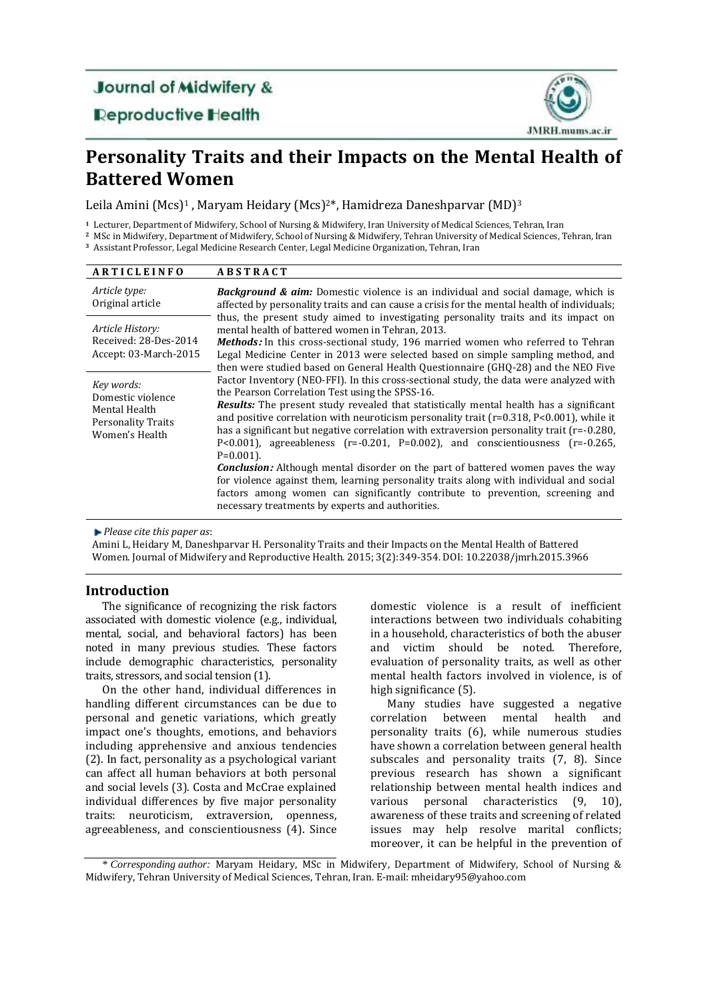# **Journal of Midwifery &**

### **Deproductive Health**



## **Personality Traits and their Impacts on the Mental Health of Battered Women**

Leila Amini (Mcs)<sup>1</sup>, Maryam Heidary (Mcs)<sup>2\*</sup>, Hamidreza Daneshparvar (MD)<sup>3</sup>

**<sup>1</sup>** Lecturer, Department of Midwifery, School of Nursing & Midwifery, Iran University of Medical Sciences, Tehran, Iran

**<sup>2</sup>** MSc in Midwifery, Department of Midwifery, School of Nursing & Midwifery, Tehran University of Medical Sciences, Tehran, Iran **<sup>3</sup>** Assistant Professor, Legal Medicine Research Center, Legal Medicine Organization, Tehran, Iran

| <b>ARTICLEINFO</b>                                                                              | <b>ABSTRACT</b>                                                                                                                                                                                                                                                                                                                                                                                                                                                                                                                                                                                                                                                                                                                                                                                                                                                                   |  |  |  |  |
|-------------------------------------------------------------------------------------------------|-----------------------------------------------------------------------------------------------------------------------------------------------------------------------------------------------------------------------------------------------------------------------------------------------------------------------------------------------------------------------------------------------------------------------------------------------------------------------------------------------------------------------------------------------------------------------------------------------------------------------------------------------------------------------------------------------------------------------------------------------------------------------------------------------------------------------------------------------------------------------------------|--|--|--|--|
| Article type:<br>Original article                                                               | <b>Background &amp; aim:</b> Domestic violence is an individual and social damage, which is<br>affected by personality traits and can cause a crisis for the mental health of individuals;                                                                                                                                                                                                                                                                                                                                                                                                                                                                                                                                                                                                                                                                                        |  |  |  |  |
| Article History:<br>Received: 28-Des-2014<br>Accept: 03-March-2015                              | thus, the present study aimed to investigating personality traits and its impact on<br>mental health of battered women in Tehran, 2013.<br><b>Methods:</b> In this cross-sectional study, 196 married women who referred to Tehran<br>Legal Medicine Center in 2013 were selected based on simple sampling method, and<br>then were studied based on General Health Questionnaire (GHQ-28) and the NEO Five                                                                                                                                                                                                                                                                                                                                                                                                                                                                       |  |  |  |  |
| Key words:<br>Domestic violence<br>Mental Health<br><b>Personality Traits</b><br>Women's Health | Factor Inventory (NEO-FFI). In this cross-sectional study, the data were analyzed with<br>the Pearson Correlation Test using the SPSS-16.<br><b>Results:</b> The present study revealed that statistically mental health has a significant<br>and positive correlation with neuroticism personality trait ( $r=0.318$ , P<0.001), while it<br>has a significant but negative correlation with extraversion personality trait (r=-0.280,<br>P<0.001), agreeableness $(r=-0.201, P=0.002)$ , and conscientiousness $(r=-0.265, P=0.002)$<br>$P=0.001$ ).<br><b>Conclusion:</b> Although mental disorder on the part of battered women paves the way<br>for violence against them, learning personality traits along with individual and social<br>factors among women can significantly contribute to prevention, screening and<br>necessary treatments by experts and authorities. |  |  |  |  |

*Please cite this paper as*:

Amini L, Heidary M, Daneshparvar H. Personality Traits and their Impacts on the Mental Health of Battered Women. Journal of Midwifery and Reproductive Health. 2015; 3(2):349-354. DOI: 10.22038/jmrh.2015.3966

#### **Introduction**

The significance of recognizing the risk factors associated with domestic violence (e.g., individual, mental, social, and behavioral factors) has been noted in many previous studies. These factors include demographic characteristics, personality traits, stressors, and social tension (1).

On the other hand, individual differences in handling different circumstances can be due to personal and genetic variations, which greatly impact one's thoughts, emotions, and behaviors including apprehensive and anxious tendencies (2). In fact, personality as a psychological variant can affect all human behaviors at both personal and social levels (3). Costa and McCrae explained individual differences by five major personality traits: neuroticism, extraversion, openness, agreeableness, and conscientiousness (4). Since domestic violence is a result of inefficient interactions between two individuals cohabiting in a household, characteristics of both the abuser and victim should be noted. Therefore, evaluation of personality traits, as well as other mental health factors involved in violence, is of high significance (5).

Many studies have suggested a negative correlation between mental health and personality traits (6), while numerous studies have shown a correlation between general health subscales and personality traits (7, 8). Since previous research has shown a significant relationship between mental health indices and various personal characteristics (9, 10), awareness of these traits and screening of related issues may help resolve marital conflicts; moreover, it can be helpful in the prevention of

\* *Corresponding author:* Maryam Heidary, MSc in Midwifery, Department of Midwifery, School of Nursing & Midwifery, Tehran University of Medical Sciences, Tehran, Iran. E-mail: mheidary95@yahoo.com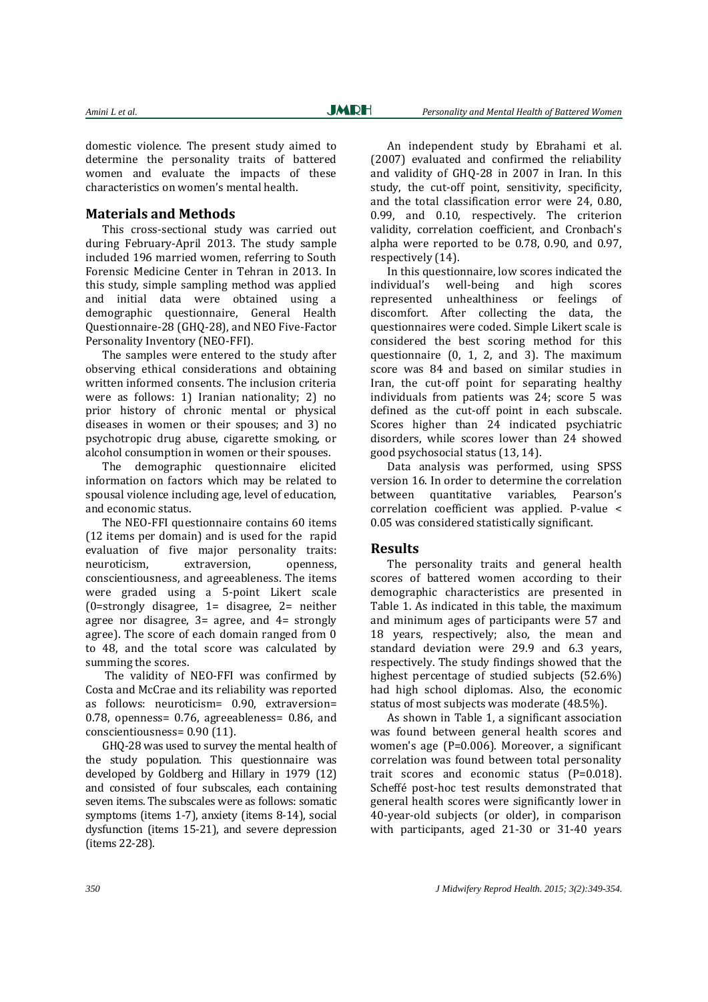domestic violence. The present study aimed to determine the personality traits of battered women and evaluate the impacts of these characteristics on women's mental health.

#### **Materials and Methods**

This cross-sectional study was carried out during February-April 2013. The study sample included 196 married women, referring to South Forensic Medicine Center in Tehran in 2013. In this study, simple sampling method was applied and initial data were obtained using a demographic questionnaire, General Health Questionnaire-28 (GHQ-28), and NEO Five-Factor Personality Inventory (NEO-FFI).

The samples were entered to the study after observing ethical considerations and obtaining written informed consents. The inclusion criteria were as follows: 1) Iranian nationality; 2) no prior history of chronic mental or physical diseases in women or their spouses; and 3) no psychotropic drug abuse, cigarette smoking, or alcohol consumption in women or their spouses.

The demographic questionnaire elicited information on factors which may be related to spousal violence including age, level of education, and economic status.

The NEO-FFI questionnaire contains 60 items (12 items per domain) and is used for the rapid evaluation of five major personality traits: neuroticism, extraversion, openness, conscientiousness, and agreeableness. The items were graded using a 5-point Likert scale (0=strongly disagree, 1= disagree, 2= neither agree nor disagree,  $3=$  agree, and  $4=$  strongly agree). The score of each domain ranged from 0 to 48, and the total score was calculated by summing the scores.

The validity of NEO-FFI was confirmed by Costa and McCrae and its reliability was reported as follows: neuroticism= 0.90, extraversion= 0.78, openness= 0.76, agreeableness= 0.86, and conscientiousness= 0.90 (11).

GHQ-28 was used to survey the mental health of the study population. This questionnaire was developed by Goldberg and Hillary in 1979 (12) and consisted of four subscales, each containing seven items. The subscales were as follows: somatic symptoms (items 1-7), anxiety (items 8-14), social dysfunction (items 15-21), and severe depression (items 22-28).

An independent study by Ebrahami et al. (2007) evaluated and confirmed the reliability and validity of GHQ-28 in 2007 in Iran. In this study, the cut-off point, sensitivity, specificity, and the total classification error were 24, 0.80, 0.99, and 0.10, respectively. The criterion validity, correlation coefficient, and Cronbach's alpha were reported to be 0.78, 0.90, and 0.97, respectively (14).

In this questionnaire, low scores indicated the individual's well-being and high scores represented unhealthiness or feelings of discomfort. After collecting the data, the questionnaires were coded. Simple Likert scale is considered the best scoring method for this questionnaire (0, 1, 2, and 3). The maximum score was 84 and based on similar studies in Iran, the cut-off point for separating healthy individuals from patients was 24; score 5 was defined as the cut-off point in each subscale. Scores higher than 24 indicated psychiatric disorders, while scores lower than 24 showed good psychosocial status (13, 14).

Data analysis was performed, using SPSS version 16. In order to determine the correlation between quantitative variables, Pearson's correlation coefficient was applied. P-value < 0.05 was considered statistically significant.

#### **Results**

The personality traits and general health scores of battered women according to their demographic characteristics are presented in Table 1. As indicated in this table, the maximum and minimum ages of participants were 57 and 18 years, respectively; also, the mean and standard deviation were 29.9 and 6.3 years, respectively. The study findings showed that the highest percentage of studied subjects (52.6%) had high school diplomas. Also, the economic status of most subjects was moderate (48.5%).

As shown in Table 1, a significant association was found between general health scores and women's age (P=0.006). Moreover, a significant correlation was found between total personality trait scores and economic status (P=0.018). Scheffé post-hoc test results demonstrated that general health scores were significantly lower in 40-year-old subjects (or older), in comparison with participants, aged 21-30 or 31-40 years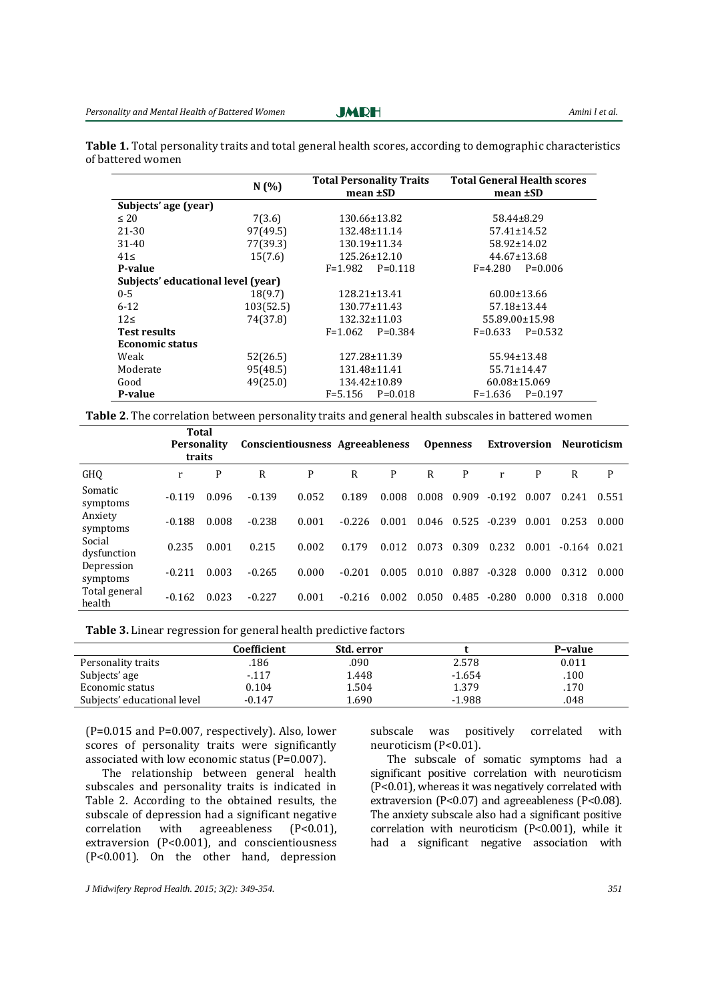**Table 1.** Total personality traits and total general health scores, according to demographic characteristics of battered women

|                                    | N(%)      | <b>Total Personality Traits</b> | <b>Total General Health scores</b> |  |  |  |  |
|------------------------------------|-----------|---------------------------------|------------------------------------|--|--|--|--|
|                                    |           | mean ±SD                        | mean ±SD                           |  |  |  |  |
| Subjects' age (year)               |           |                                 |                                    |  |  |  |  |
| $\leq 20$                          | 7(3.6)    | 130.66±13.82                    | $58.44 \pm 8.29$                   |  |  |  |  |
| 21-30                              | 97(49.5)  | 132.48±11.14                    | $57.41 \pm 14.52$                  |  |  |  |  |
| $31 - 40$                          | 77(39.3)  | 130.19±11.34                    | 58.92±14.02                        |  |  |  |  |
| $41 \le$                           | 15(7.6)   | 125.26±12.10                    | 44.67±13.68                        |  |  |  |  |
| P-value                            |           | $F = 1.982$<br>$P=0.118$        | $F = 4.280$<br>$P=0.006$           |  |  |  |  |
| Subjects' educational level (year) |           |                                 |                                    |  |  |  |  |
| $0 - 5$                            | 18(9.7)   | 128.21±13.41                    | $60.00 \pm 13.66$                  |  |  |  |  |
| $6 - 12$                           | 103(52.5) | 130.77±11.43                    | 57.18±13.44                        |  |  |  |  |
| 12<                                | 74(37.8)  | $132.32 \pm 11.03$              | 55.89.00±15.98                     |  |  |  |  |
| <b>Test results</b>                |           | $P=0.384$<br>$F = 1.062$        | $P=0.532$<br>$F=0.633$             |  |  |  |  |
| <b>Economic status</b>             |           |                                 |                                    |  |  |  |  |
| Weak                               | 52(26.5)  | 127.28±11.39                    | 55.94±13.48                        |  |  |  |  |
| Moderate                           | 95(48.5)  | 131.48±11.41                    | 55.71±14.47                        |  |  |  |  |
| Good                               | 49(25.0)  | 134.42±10.89                    | 60.08±15.069                       |  |  |  |  |
| P-value                            |           | $F = 5.156$<br>$P=0.018$        | $F = 1.636$<br>$P=0.197$           |  |  |  |  |

**Table 2**. The correlation between personality traits and general health subscales in battered women

|                         | Total<br><b>Personality</b><br>traits |       | Conscientiousness Agreeableness Openness |       |          |       |       |       |          |       | <b>Extroversion Neuroticism</b> |       |
|-------------------------|---------------------------------------|-------|------------------------------------------|-------|----------|-------|-------|-------|----------|-------|---------------------------------|-------|
| GHQ                     | r                                     | P     | R                                        | P     | R        | P     | R     | P     | r        | P     | R                               | P     |
| Somatic<br>symptoms     | $-0.119$                              | 0.096 | $-0.139$                                 | 0.052 | 0.189    | 0.008 | 0.008 | 0.909 | $-0.192$ | 0.007 | 0.241                           | 0.551 |
| Anxiety<br>symptoms     | $-0.188$                              | 0.008 | $-0.238$                                 | 0.001 | $-0.226$ | 0.001 | 0.046 | 0.525 | $-0.239$ | 0.001 | 0.253                           | 0.000 |
| Social<br>dysfunction   | 0.235                                 | 0.001 | 0.215                                    | 0.002 | 0.179    | 0.012 | 0.073 | 0.309 | 0.232    | 0.001 | $-0.164$                        | 0.021 |
| Depression<br>symptoms  | $-0.211$                              | 0.003 | $-0.265$                                 | 0.000 | $-0.201$ | 0.005 | 0.010 | 0.887 | $-0.328$ | 0.000 | 0.312                           | 0.000 |
| Total general<br>health | $-0.162$                              | 0.023 | $-0.227$                                 | 0.001 | $-0.216$ | 0.002 | 0.050 | 0.485 | $-0.280$ | 0.000 | 0.318                           | 0.000 |

| Table 3. Linear regression for general health predictive factors |  |  |
|------------------------------------------------------------------|--|--|
|------------------------------------------------------------------|--|--|

|                             | Coefficient | Std. error |          | P-value |
|-----------------------------|-------------|------------|----------|---------|
| Personality traits          | .186        | .090       | 2.578    | 0.011   |
| Subjects' age               | $-117$      | 1.448      | $-1.654$ | .100    |
| Economic status             | 0.104       | 1.504      | 1.379    | .170    |
| Subjects' educational level | $-0.147$    | 1.690      | $-1.988$ | .048    |

(P=0.015 and P=0.007, respectively). Also, lower scores of personality traits were significantly associated with low economic status (P=0.007).

The relationship between general health subscales and personality traits is indicated in Table 2. According to the obtained results, the subscale of depression had a significant negative correlation with agreeableness (P<0.01), extraversion (P<0.001), and conscientiousness (P<0.001). On the other hand, depression subscale was positively correlated with neuroticism (P<0.01).

The subscale of somatic symptoms had a significant positive correlation with neuroticism (P<0.01), whereas it was negatively correlated with extraversion (P<0.07) and agreeableness (P<0.08). The anxiety subscale also had a significant positive correlation with neuroticism (P<0.001), while it had a significant negative association with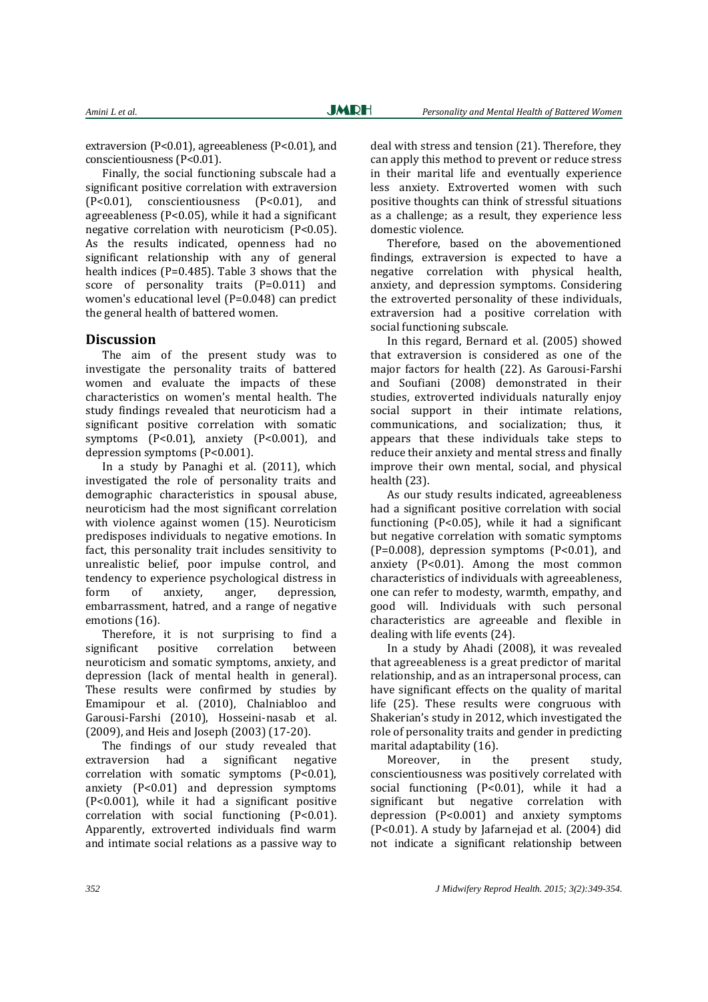extraversion (P<0.01), agreeableness (P<0.01), and conscientiousness (P<0.01).

Finally, the social functioning subscale had a significant positive correlation with extraversion (P<0.01), conscientiousness (P<0.01), and agreeableness (P<0.05), while it had a significant negative correlation with neuroticism (P<0.05). As the results indicated, openness had no significant relationship with any of general health indices (P=0.485). Table 3 shows that the score of personality traits (P=0.011) and women's educational level (P=0.048) can predict the general health of battered women.

#### **Discussion**

The aim of the present study was to investigate the personality traits of battered women and evaluate the impacts of these characteristics on women's mental health. The study findings revealed that neuroticism had a significant positive correlation with somatic symptoms (P<0.01), anxiety (P<0.001), and depression symptoms (P<0.001).

In a study by Panaghi et al. (2011), which investigated the role of personality traits and demographic characteristics in spousal abuse, neuroticism had the most significant correlation with violence against women (15). Neuroticism predisposes individuals to negative emotions. In fact, this personality trait includes sensitivity to unrealistic belief, poor impulse control, and tendency to experience psychological distress in form of anxiety, anger, depression, embarrassment, hatred, and a range of negative emotions (16).

Therefore, it is not surprising to find a significant positive correlation between neuroticism and somatic symptoms, anxiety, and depression (lack of mental health in general). These results were confirmed by studies by Emamipour et al. (2010), Chalniabloo and Garousi-Farshi (2010), Hosseini-nasab et al. (2009), and Heis and Joseph (2003) (17-20).

The findings of our study revealed that extraversion had a significant negative correlation with somatic symptoms (P<0.01), anxiety (P<0.01) and depression symptoms (P<0.001), while it had a significant positive correlation with social functioning (P<0.01). Apparently, extroverted individuals find warm and intimate social relations as a passive way to

deal with stress and tension (21). Therefore, they can apply this method to prevent or reduce stress in their marital life and eventually experience less anxiety. Extroverted women with such positive thoughts can think of stressful situations as a challenge; as a result, they experience less domestic violence.

Therefore, based on the abovementioned findings, extraversion is expected to have a negative correlation with physical health, anxiety, and depression symptoms. Considering the extroverted personality of these individuals, extraversion had a positive correlation with social functioning subscale.

In this regard, Bernard et al. (2005) showed that extraversion is considered as one of the major factors for health (22). As Garousi-Farshi and Soufiani (2008) demonstrated in their studies, extroverted individuals naturally enjoy social support in their intimate relations, communications, and socialization; thus, it appears that these individuals take steps to reduce their anxiety and mental stress and finally improve their own mental, social, and physical health (23).

As our study results indicated, agreeableness had a significant positive correlation with social functioning (P<0.05), while it had a significant but negative correlation with somatic symptoms  $(P=0.008)$ , depression symptoms  $(P<0.01)$ , and anxiety  $(P<0.01)$ . Among the most common characteristics of individuals with agreeableness, one can refer to modesty, warmth, empathy, and good will. Individuals with such personal characteristics are agreeable and flexible in dealing with life events (24).

In a study by Ahadi (2008), it was revealed that agreeableness is a great predictor of marital relationship, and as an intrapersonal process, can have significant effects on the quality of marital life (25). These results were congruous with Shakerian's study in 2012, which investigated the role of personality traits and gender in predicting marital adaptability (16).

Moreover, in the present study, conscientiousness was positively correlated with social functioning (P<0.01), while it had a significant but negative correlation with depression (P<0.001) and anxiety symptoms (P<0.01). A study by Jafarnejad et al. (2004) did not indicate a significant relationship between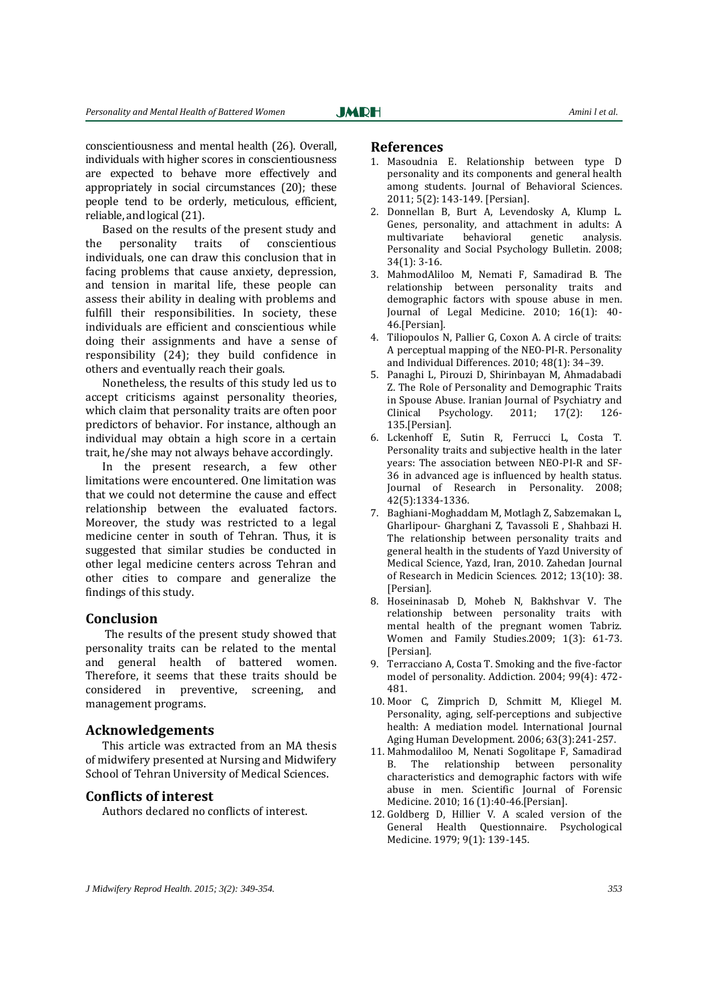conscientiousness and mental health (26). Overall, individuals with higher scores in conscientiousness are expected to behave more effectively and appropriately in social circumstances (20); these people tend to be orderly, meticulous, efficient, reliable, and logical (21).

Based on the results of the present study and the personality traits of conscientious individuals, one can draw this conclusion that in facing problems that cause anxiety, depression, and tension in marital life, these people can assess their ability in dealing with problems and fulfill their responsibilities. In society, these individuals are efficient and conscientious while doing their assignments and have a sense of responsibility (24); they build confidence in others and eventually reach their goals.

Nonetheless, the results of this study led us to accept criticisms against personality theories, which claim that personality traits are often poor predictors of behavior. For instance, although an individual may obtain a high score in a certain trait, he/she may not always behave accordingly.

In the present research, a few other limitations were encountered. One limitation was that we could not determine the cause and effect relationship between the evaluated factors. Moreover, the study was restricted to a legal medicine center in south of Tehran. Thus, it is suggested that similar studies be conducted in other legal medicine centers across Tehran and other cities to compare and generalize the findings of this study.

#### **Conclusion**

The results of the present study showed that personality traits can be related to the mental and general health of battered women. Therefore, it seems that these traits should be considered in preventive, screening, and management programs.

#### **Acknowledgements**

This article was extracted from an MA thesis of midwifery presented at Nursing and Midwifery School of Tehran University of Medical Sciences.

#### **Conflicts of interest**

Authors declared no conflicts of interest.

#### **References**

- 1. Masoudnia E. Relationship between type D personality and its components and general health among students. Journal of Behavioral Sciences. 2011; 5(2): 143-149. [Persian].
- 2. Donnellan B, Burt A, Levendosky A, Klump L. Genes, personality, and attachment in adults: A multivariate behavioral genetic analysis. Personality and Social Psychology Bulletin. 2008; 34(1): 3-16.
- 3. MahmodAliloo M, Nemati F, Samadirad B. The relationship between personality traits and demographic factors with spouse abuse in men. Journal of Legal Medicine. 2010; 16(1): 40- 46.[Persian].
- 4. Tiliopoulos N, Pallier G, Coxon A. A circle of traits: A perceptual mapping of the NEO-PI-R. Personality and Individual Differences. 2010; 48(1): 34–39.
- 5. Panaghi L, Pirouzi D, Shirinbayan M, Ahmadabadi Z. The Role of Personality and Demographic Traits in Spouse Abuse. Iranian Journal of Psychiatry and Clinical Psychology. 2011; 17(2): 126- 135.[Persian].
- 6. Lckenhoff E, Sutin R, Ferrucci L, Costa T. Personality traits and subjective health in the later years: The association between NEO-PI-R and SF-36 in advanced age is influenced by health status. Journal of Research in Personality. 2008; 42(5):1334-1336.
- 7. Baghiani-Moghaddam M, Motlagh Z, Sabzemakan L, Gharlipour- Gharghani Z, Tavassoli E , Shahbazi H. The relationship between personality traits and general health in the students of Yazd University of Medical Science, Yazd, Iran, 2010. Zahedan Journal of Research in Medicin Sciences. 2012; 13(10): 38. [Persian].
- 8. Hoseininasab D, Moheb N, Bakhshvar V. The relationship between personality traits with mental health of the pregnant women Tabriz. Women and Family Studies.2009; 1(3): 61-73. [Persian].
- 9. Terracciano A, Costa T. Smoking and the five-factor model of personality. Addiction. 2004; 99(4): 472- 481.
- 10. Moor C, Zimprich D, Schmitt M, Kliegel M. Personality, aging, self-perceptions and subjective health: A mediation model. International Journal Aging Human Development. 2006; 63(3):241-257.
- 11. Mahmodaliloo M, Nenati Sogolitape F, Samadirad B. The relationship between personality characteristics and demographic factors with wife abuse in men. Scientific Journal of Forensic Medicine. 2010; 16 (1):40-46.[Persian].
- 12. Goldberg D, Hillier V. A scaled version of the General Health Questionnaire. Psychological Medicine. 1979; 9(1): 139-145.

*J Midwifery Reprod Health. 2015; 3(2): 349-354. 353*